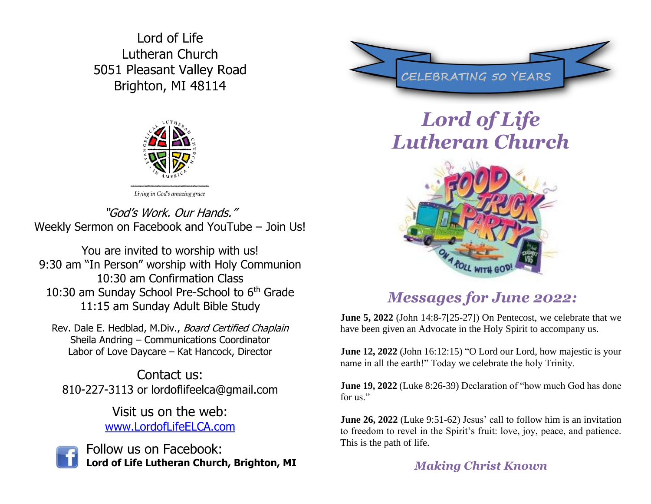Lord of Life Lutheran Church 5051 Pleasant Valley Road Brighton, MI 48114



"God's Work. Our Hands." Weekly Sermon on Facebook and YouTube – Join Us!

You are invited to worship with us! 9:30 am "In Person" worship with Holy Communion 10:30 am Confirmation Class 10:30 am Sunday School Pre-School to 6<sup>th</sup> Grade 11:15 am Sunday Adult Bible Study

Rev. Dale E. Hedblad, M.Div., Board Certified Chaplain Sheila Andring – Communications Coordinator Labor of Love Daycare – Kat Hancock, Director

Contact us: 810-227-3113 or lordoflifeelca@gmail.com

> Visit us on the web: [www.LordofLifeELCA.com](http://www.lordoflifeelca.com/)



Follow us on Facebook: **Lord of Life Lutheran Church, Brighton, MI** 



# *Lord of Life Lutheran Church*



## *Messages for June 2022:*

**June 5, 2022** (John 14:8-7[25-27]) On Pentecost, we celebrate that we have been given an Advocate in the Holy Spirit to accompany us.

**June 12, 2022** (John 16:12:15) "O Lord our Lord, how majestic is your name in all the earth!" Today we celebrate the holy Trinity.

**June 19, 2022** (Luke 8:26-39) Declaration of "how much God has done for us."

**June 26, 2022** (Luke 9:51-62) Jesus' call to follow him is an invitation to freedom to revel in the Spirit's fruit: love, joy, peace, and patience. This is the path of life.

### *Making Christ Known*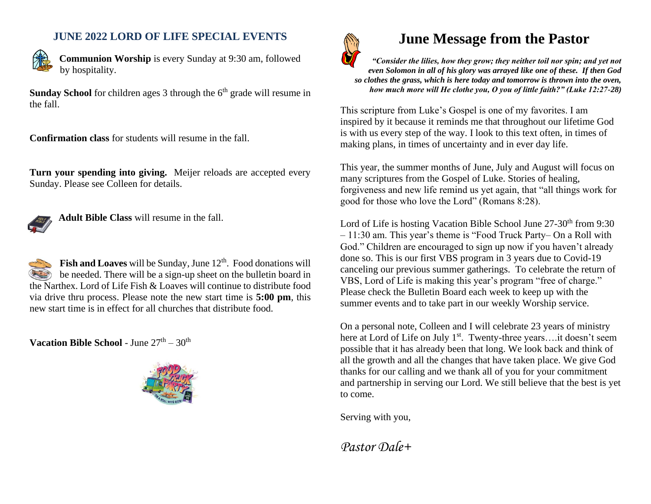#### **JUNE 2022 LORD OF LIFE SPECIAL EVENTS**



**Communion Worship** is every Sunday at 9:30 am, followed by hospitality.

**Sunday School** for children ages 3 through the 6<sup>th</sup> grade will resume in the fall.

**Confirmation class** for students will resume in the fall.

**Turn your spending into giving.** Meijer reloads are accepted every Sunday. Please see Colleen for details.



**Adult Bible Class** will resume in the fall.

Fish and Loaves will be Sunday, June 12<sup>th</sup>. Food donations will be needed. There will be a sign-up sheet on the bulletin board in the Narthex. Lord of Life Fish & Loaves will continue to distribute food via drive thru process. Please note the new start time is **5:00 pm**, this new start time is in effect for all churches that distribute food.

**Vacation Bible School - June 27th – 30th** 





## **June Message from the Pastor**

*"Consider the lilies, how they grow; they neither toil nor spin; and yet not even Solomon in all of his glory was arrayed like one of these. If then God so clothes the grass, which is here today and tomorrow is thrown into the oven, how much more will He clothe you, O you of little faith?" (Luke 12:27-28)*

This scripture from Luke's Gospel is one of my favorites. I am inspired by it because it reminds me that throughout our lifetime God is with us every step of the way. I look to this text often, in times of making plans, in times of uncertainty and in ever day life.

This year, the summer months of June, July and August will focus on many scriptures from the Gospel of Luke. Stories of healing, forgiveness and new life remind us yet again, that "all things work for good for those who love the Lord" (Romans 8:28).

Lord of Life is hosting Vacation Bible School June 27-30<sup>th</sup> from 9:30 – 11:30 am. This year's theme is "Food Truck Party– On a Roll with God." Children are encouraged to sign up now if you haven't already done so. This is our first VBS program in 3 years due to Covid-19 canceling our previous summer gatherings. To celebrate the return of VBS, Lord of Life is making this year's program "free of charge." Please check the Bulletin Board each week to keep up with the summer events and to take part in our weekly Worship service.

On a personal note, Colleen and I will celebrate 23 years of ministry here at Lord of Life on July 1<sup>st</sup>. Twenty-three years....it doesn't seem possible that it has already been that long. We look back and think of all the growth and all the changes that have taken place. We give God thanks for our calling and we thank all of you for your commitment and partnership in serving our Lord. We still believe that the best is yet to come.

Serving with you,

*Pastor Dale+*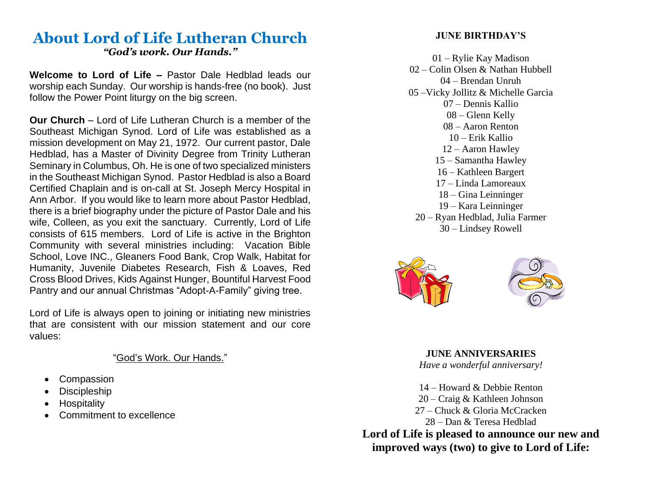#### **About Lord of Life Lutheran Church** *"God's work. Our Hands."*

**Welcome to Lord of Life –** Pastor Dale Hedblad leads our worship each Sunday. Our worship is hands-free (no book). Just follow the Power Point liturgy on the big screen.

**Our Church** – Lord of Life Lutheran Church is a member of the Southeast Michigan Synod. Lord of Life was established as a mission development on May 21, 1972. Our current pastor, Dale Hedblad, has a Master of Divinity Degree from Trinity Lutheran Seminary in Columbus, Oh. He is one of two specialized ministers in the Southeast Michigan Synod. Pastor Hedblad is also a Board Certified Chaplain and is on-call at St. Joseph Mercy Hospital in Ann Arbor. If you would like to learn more about Pastor Hedblad, there is a brief biography under the picture of Pastor Dale and his wife, Colleen, as you exit the sanctuary. Currently, Lord of Life consists of 615 members. Lord of Life is active in the Brighton Community with several ministries including: Vacation Bible School, Love INC., Gleaners Food Bank, Crop Walk, Habitat for Humanity, Juvenile Diabetes Research, Fish & Loaves, Red Cross Blood Drives, Kids Against Hunger, Bountiful Harvest Food Pantry and our annual Christmas "Adopt-A-Family" giving tree.

Lord of Life is always open to joining or initiating new ministries that are consistent with our mission statement and our core values:

#### "God's Work. Our Hands."

- **Compassion**
- **Discipleship**
- **Hospitality**
- Commitment to excellence

#### **JUNE BIRTHDAY'S**

01 – Rylie Kay Madison 02 – Colin Olsen & Nathan Hubbell 04 – Brendan Unruh 05 –Vicky Jollitz & Michelle Garcia 07 – Dennis Kallio 08 – Glenn Kelly 08 – Aaron Renton 10 – Erik Kallio 12 – Aaron Hawley 15 – Samantha Hawley 16 – Kathleen Bargert 17 – Linda Lamoreaux 18 – Gina Leinninger 19 – Kara Leinninger 20 – Ryan Hedblad, Julia Farmer 30 – Lindsey Rowell



**JUNE ANNIVERSARIES** *Have a wonderful anniversary!*

14 – Howard & Debbie Renton 20 – Craig & Kathleen Johnson 27 – Chuck & Gloria McCracken 28 – Dan & Teresa Hedblad **Lord of Life is pleased to announce our new and** 

**improved ways (two) to give to Lord of Life:**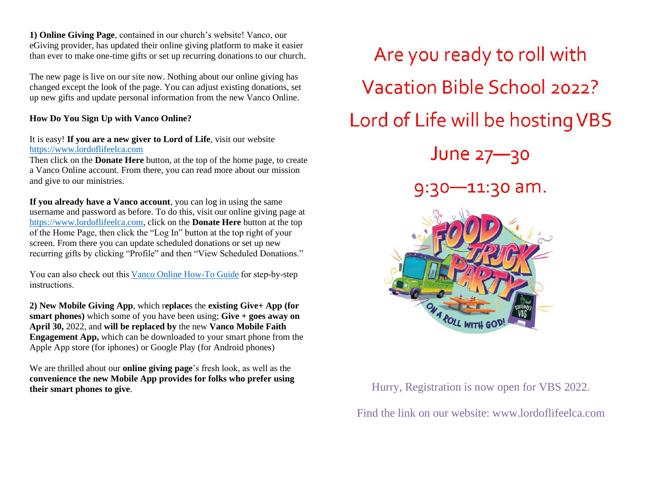**1) Online Giving Page**, contained in our church's website! Vanco, our eGiving provider, has updated their online giving platform to make it easier than ever to make one-time gifts or set up recurring donations to our church.

The new page is live on our site now. Nothing about our online giving has changed except the look of the page. You can adjust existing donations, set up new gifts and update personal information from the new Vanco Online.

#### **How Do You Sign Up with Vanco Online?**

#### It is easy! **If you are a new giver to Lord of Life**, visit our website [https://www.lordoflifeelca.com](https://www.lordoflifeelca.com/)

Then click on the **Donate Here** button, at the top of the home page, to create a Vanco Online account. From there, you can read more about our mission and give to our ministries.

**If you already have a Vanco account**, you can log in using the same username and password as before. To do this, visit our online giving page at [https://www.lordoflifeelca.com,](https://www.lordoflifeelca.com/) click on the **Donate Here** button at the top of the Home Page, then click the "Log In" button at the top right of your screen. From there you can update scheduled donations or set up new recurring gifts by clicking "Profile" and then "View Scheduled Donations."

You can also check out thi[s Vanco Online How-To Guide f](https://www.vancopayments.com/hubfs/Updated_Downloadable_Assets/Faith/Vanco_Online_How_to_Guide_FINAL.pdf)or step-by-step instructions.  

**2) New Mobile Giving App**, which r**eplace**s the **existing Give+ App (for smart phones)** which some of you have been using; **Give + goes away on April 30,** 2022, and **will be replaced by** the new **Vanco Mobile Faith Engagement App,** which can be downloaded to your smart phone from the Apple App store (for iphones) or Google Play (for Android phones)

We are thrilled about our **online giving page**'s fresh look, as well as the **convenience the new Mobile App provides for folks who prefer using their smart phones to give**. Hurry, Registration is now open for VBS 2022.



Find the link on our website: [www.lordoflifeelca.com](http://www.lordoflifeelca.com/)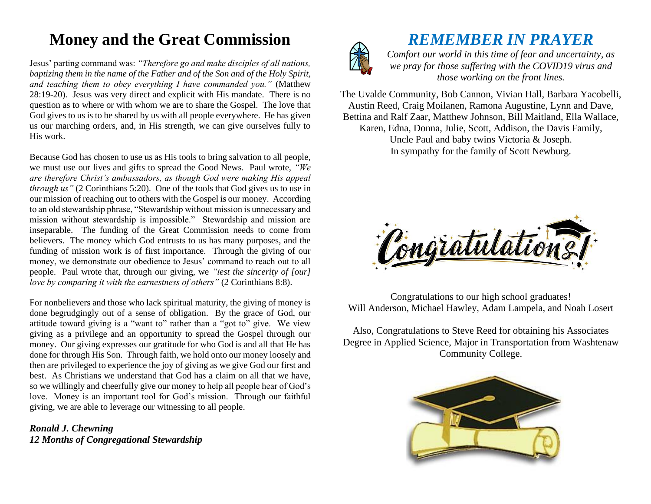## **Money and the Great Commission**

Jesus' parting command was: *"Therefore go and make disciples of all nations, baptizing them in the name of the Father and of the Son and of the Holy Spirit, and teaching them to obey everything I have commanded you."* (Matthew 28:19-20). Jesus was very direct and explicit with His mandate. There is no question as to where or with whom we are to share the Gospel. The love that God gives to us is to be shared by us with all people everywhere. He has given us our marching orders, and, in His strength, we can give ourselves fully to His work.

Because God has chosen to use us as His tools to bring salvation to all people, we must use our lives and gifts to spread the Good News. Paul wrote, *"We are therefore Christ's ambassadors, as though God were making His appeal through us"* (2 Corinthians 5:20). One of the tools that God gives us to use in our mission of reaching out to others with the Gospel is our money. According to an old stewardship phrase, "Stewardship without mission is unnecessary and mission without stewardship is impossible." Stewardship and mission are inseparable. The funding of the Great Commission needs to come from believers. The money which God entrusts to us has many purposes, and the funding of mission work is of first importance. Through the giving of our money, we demonstrate our obedience to Jesus' command to reach out to all people. Paul wrote that, through our giving, we *"test the sincerity of [our] love by comparing it with the earnestness of others*" (2 Corinthians 8:8).

For nonbelievers and those who lack spiritual maturity, the giving of money is done begrudgingly out of a sense of obligation. By the grace of God, our attitude toward giving is a "want to" rather than a "got to" give. We view giving as a privilege and an opportunity to spread the Gospel through our money. Our giving expresses our gratitude for who God is and all that He has done for through His Son. Through faith, we hold onto our money loosely and then are privileged to experience the joy of giving as we give God our first and best. As Christians we understand that God has a claim on all that we have, so we willingly and cheerfully give our money to help all people hear of God's love. Money is an important tool for God's mission. Through our faithful giving, we are able to leverage our witnessing to all people.

*Ronald J. Chewning 12 Months of Congregational Stewardship*



*REMEMBER IN PRAYER*

*Comfort our world in this time of fear and uncertainty, as we pray for those suffering with the COVID19 virus and those working on the front lines.*

The Uvalde Community, Bob Cannon, Vivian Hall, Barbara Yacobelli, Austin Reed, Craig Moilanen, Ramona Augustine, Lynn and Dave, Bettina and Ralf Zaar, Matthew Johnson, Bill Maitland, Ella Wallace, Karen, Edna, Donna, Julie, Scott, Addison, the Davis Family,

Uncle Paul and baby twins Victoria & Joseph. In sympathy for the family of Scott Newburg.



Congratulations to our high school graduates! Will Anderson, Michael Hawley, Adam Lampela, and Noah Losert

Also, Congratulations to Steve Reed for obtaining his Associates Degree in Applied Science, Major in Transportation from Washtenaw Community College.

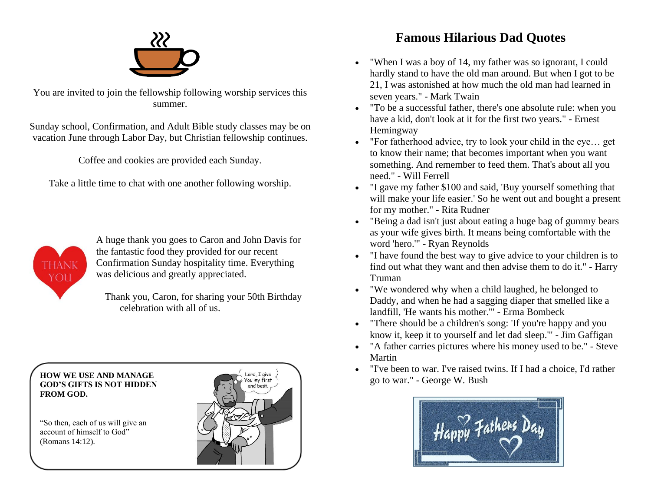

You are invited to join the fellowship following worship services this summer.

Sunday school, Confirmation, and Adult Bible study classes may be on vacation June through Labor Day, but Christian fellowship continues.

Coffee and cookies are provided each Sunday.

Take a little time to chat with one another following worship.



A huge thank you goes to Caron and John Davis for the fantastic food they provided for our recent Confirmation Sunday hospitality time. Everything was delicious and greatly appreciated.

Thank you, Caron, for sharing your 50th Birthday celebration with all of us.

 **HOW WE USE AND MANAGE GOD'S GIFTS IS NOT HIDDEN FROM GOD.**

 "So then, each of us will give an account of himself to God" (Romans 14:12).



## **Famous Hilarious Dad Quotes**

- "When I was a boy of 14, my father was so ignorant, I could hardly stand to have the old man around. But when I got to be 21, I was astonished at how much the old man had learned in seven years." - Mark Twain
- "To be a successful father, there's one absolute rule: when you have a kid, don't look at it for the first two years." - Ernest Hemingway
- "For fatherhood advice, try to look your child in the eye… get to know their name; that becomes important when you want something. And remember to feed them. That's about all you need." - Will Ferrell
- "I gave my father \$100 and said, 'Buy yourself something that will make your life easier.' So he went out and bought a present for my mother." - Rita Rudner
- "Being a dad isn't just about eating a huge bag of gummy bears as your wife gives birth. It means being comfortable with the word 'hero.'" - Ryan Reynolds
- "I have found the best way to give advice to your children is to find out what they want and then advise them to do it." - Harry Truman
- "We wondered why when a child laughed, he belonged to Daddy, and when he had a sagging diaper that smelled like a landfill, 'He wants his mother.'" - Erma Bombeck
- "There should be a children's song: 'If you're happy and you know it, keep it to yourself and let dad sleep.'" - Jim Gaffigan
- "A father carries pictures where his money used to be." Steve Martin
- "I've been to war. I've raised twins. If I had a choice, I'd rather go to war." - George W. Bush